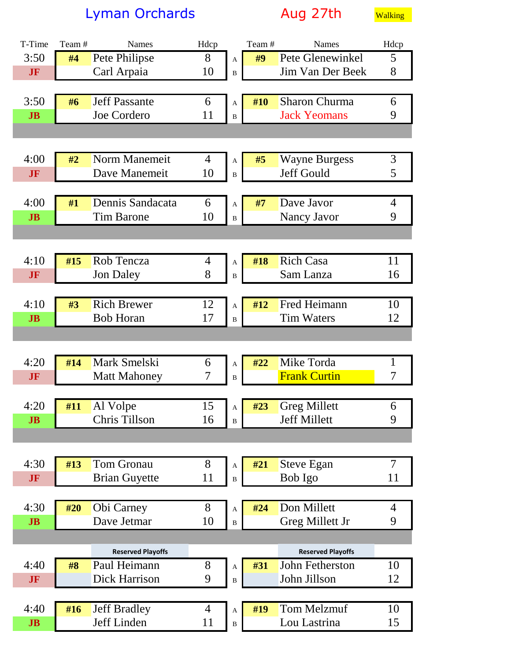Lyman Orchards and Aug 27th Walking

| T-Time         | Team# | <b>Names</b>                         | Hdcp   |                           | Team# | Names                           | Hdcp           |
|----------------|-------|--------------------------------------|--------|---------------------------|-------|---------------------------------|----------------|
| 3:50           | #4    | Pete Philipse                        | 8      | $\mathbf A$               | #9    | Pete Glenewinkel                | 5              |
| JF             |       | Carl Arpaia                          | 10     | $\, {\bf B}$              |       | Jim Van Der Beek                | 8              |
|                |       |                                      |        |                           |       |                                 |                |
| 3:50           | #6    | <b>Jeff Passante</b>                 | 6      | $\mathbf{A}$              | #10   | <b>Sharon Churma</b>            | 6              |
| J <sub>B</sub> |       | Joe Cordero                          | 11     | $\, {\bf B}$              |       | <b>Jack Yeomans</b>             | 9              |
|                |       |                                      |        |                           |       |                                 |                |
|                |       |                                      |        |                           |       |                                 |                |
| 4:00           | #2    | Norm Manemeit                        | 4      | $\mathbf{A}$              | #5    | <b>Wayne Burgess</b>            | 3              |
| JF             |       | Dave Manemeit                        | 10     | $\, {\bf B}$              |       | Jeff Gould                      | 5              |
|                |       |                                      |        |                           |       |                                 |                |
| 4:00           | #1    | Dennis Sandacata                     | 6      | A                         | #7    | Dave Javor                      | $\overline{4}$ |
| J <sub>B</sub> |       | <b>Tim Barone</b>                    | 10     | $\, {\bf B}$              |       | Nancy Javor                     | 9              |
|                |       |                                      |        |                           |       |                                 |                |
|                |       |                                      |        |                           |       |                                 |                |
| 4:10           | #15   | Rob Tencza                           | 4      | A                         | #18   | <b>Rich Casa</b>                | 11             |
| JF             |       | <b>Jon Daley</b>                     | 8      | $\, {\bf B}$              |       | Sam Lanza                       | 16             |
|                |       |                                      |        |                           |       |                                 |                |
| 4:10           | #3    | <b>Rich Brewer</b>                   | 12     | $\mathbf A$               | #12   | Fred Heimann                    | 10             |
| J <sub>B</sub> |       | <b>Bob Horan</b>                     | 17     | $\, {\bf B}$              |       | <b>Tim Waters</b>               | 12             |
|                |       |                                      |        |                           |       |                                 |                |
|                |       |                                      |        |                           |       |                                 |                |
| 4:20           | #14   | Mark Smelski                         | 6      | A                         | #22   | Mike Torda                      | $\mathbf{1}$   |
| <b>JF</b>      |       | <b>Matt Mahoney</b>                  | 7      | $\, {\bf B}$              |       | <b>Frank Curtin</b>             | 7              |
|                |       |                                      |        |                           |       |                                 |                |
| 4:20           | #11   | Al Volpe                             | 15     | A                         | #23   | <b>Greg Millett</b>             | 6              |
| J <sub>B</sub> |       | Chris Tillson                        | 16     | $\, {\bf B}$              |       | <b>Jeff Millett</b>             | 9              |
|                |       |                                      |        |                           |       |                                 |                |
|                |       |                                      |        |                           |       |                                 |                |
| 4:30           | #13   | <b>Tom Gronau</b>                    | 8      | $\mathbf A$               | #21   | <b>Steve Egan</b>               | $\overline{7}$ |
| JF             |       | <b>Brian Guyette</b>                 | 11     | $\, {\bf B}$              |       | Bob Igo                         | 11             |
|                |       |                                      |        |                           |       |                                 |                |
| 4:30           | #20   | Obi Carney                           | 8      |                           | #24   | Don Millett                     | 4              |
| J <sub>B</sub> |       | Dave Jetmar                          | 10     | A                         |       | Greg Millett Jr                 | 9              |
|                |       |                                      |        | $\, {\bf B}$              |       |                                 |                |
|                |       |                                      |        |                           |       |                                 |                |
| 4:40           |       | <b>Reserved Playoffs</b>             |        |                           |       | <b>Reserved Playoffs</b>        |                |
|                | #8    | Paul Heimann<br><b>Dick Harrison</b> | 8<br>9 | A                         | #31   | John Fetherston<br>John Jillson | 10<br>12       |
| JF             |       |                                      |        | $\, {\bf B}$              |       |                                 |                |
|                |       |                                      |        |                           |       |                                 |                |
| 4:40           | #16   | <b>Jeff Bradley</b>                  | 4      | $\boldsymbol{\mathsf{A}}$ | #19   | <b>Tom Melzmuf</b>              | 10             |
| J <sub>B</sub> |       | Jeff Linden                          | 11     | $\, {\bf B}$              |       | Lou Lastrina                    | 15             |